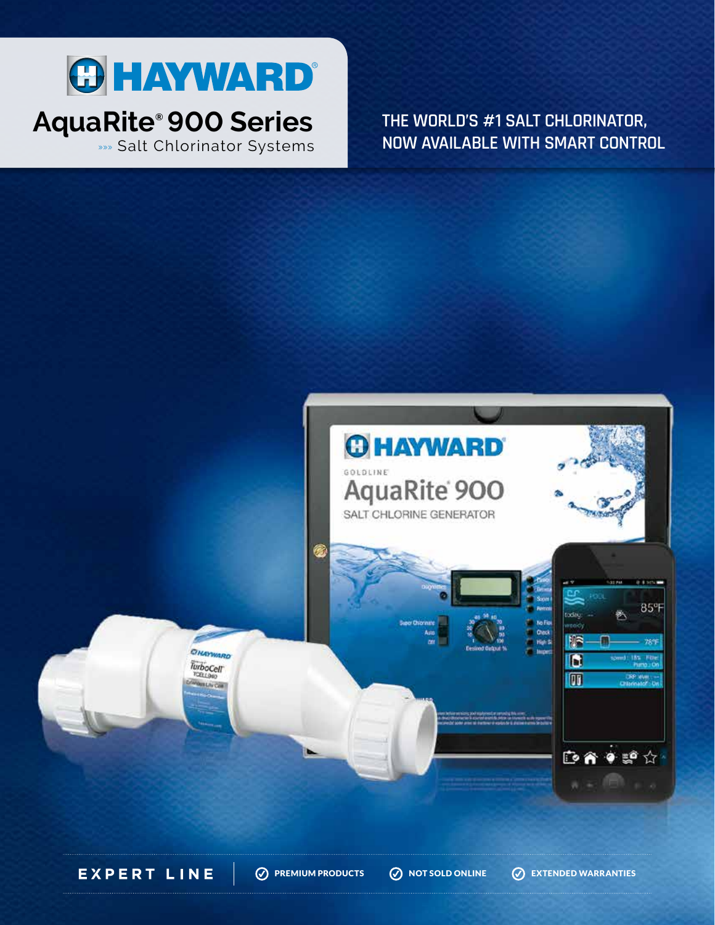

# **AquaRite® 900 Series**

»»» Salt Chlorinator Systems

**THE WORLD'S #1 SALT CHLORINATOR, NOW AVAILABLE WITH SMART CONTROL** 



**EXPERT LINE** 

 $\oslash$  PREMIUM PRODUCTS  $\oslash$  NOT SOLD ONLINE  $\oslash$  EXTENDED WARRANTIES